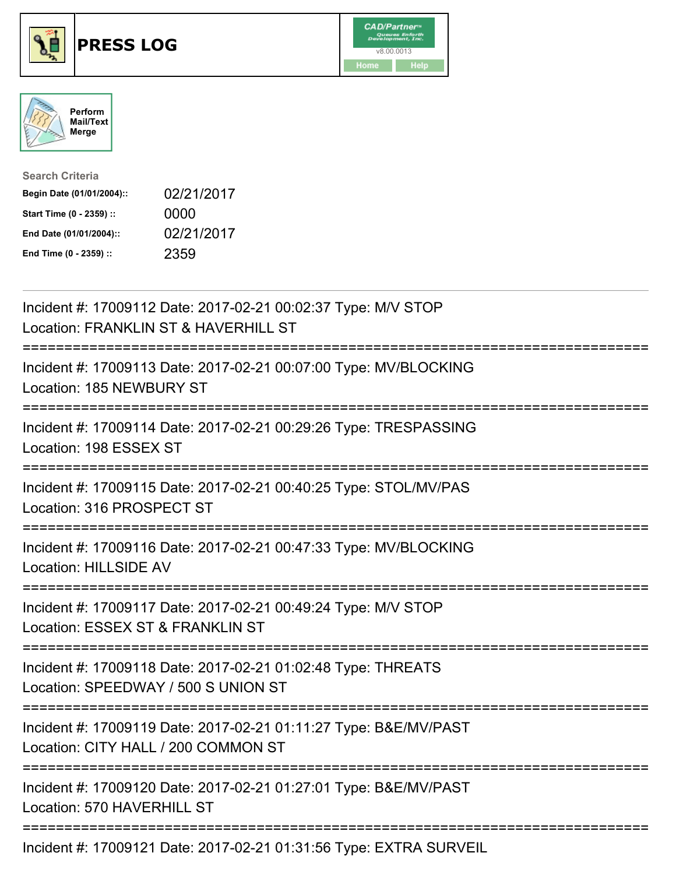





| <b>Search Criteria</b>    |            |
|---------------------------|------------|
| Begin Date (01/01/2004):: | 02/21/2017 |
| Start Time (0 - 2359) ::  | 0000       |
| End Date (01/01/2004)::   | 02/21/2017 |
| End Time (0 - 2359) ::    | 2359       |

| Incident #: 17009112 Date: 2017-02-21 00:02:37 Type: M/V STOP<br>Location: FRANKLIN ST & HAVERHILL ST                                                                    |
|--------------------------------------------------------------------------------------------------------------------------------------------------------------------------|
| Incident #: 17009113 Date: 2017-02-21 00:07:00 Type: MV/BLOCKING<br>Location: 185 NEWBURY ST<br>--------------                                                           |
| Incident #: 17009114 Date: 2017-02-21 00:29:26 Type: TRESPASSING<br>Location: 198 ESSEX ST<br><u> :==================</u>                                                |
| Incident #: 17009115 Date: 2017-02-21 00:40:25 Type: STOL/MV/PAS<br>Location: 316 PROSPECT ST<br>---------------                                                         |
| Incident #: 17009116 Date: 2017-02-21 00:47:33 Type: MV/BLOCKING<br>Location: HILLSIDE AV                                                                                |
| Incident #: 17009117 Date: 2017-02-21 00:49:24 Type: M/V STOP<br>Location: ESSEX ST & FRANKLIN ST<br>==========================                                          |
| Incident #: 17009118 Date: 2017-02-21 01:02:48 Type: THREATS<br>Location: SPEEDWAY / 500 S UNION ST<br>----------------------------                                      |
| Incident #: 17009119 Date: 2017-02-21 01:11:27 Type: B&E/MV/PAST<br>Location: CITY HALL / 200 COMMON ST<br>:==============================<br>-------------------------- |
| Incident #: 17009120 Date: 2017-02-21 01:27:01 Type: B&E/MV/PAST<br>Location: 570 HAVERHILL ST                                                                           |
| Incident #: 17009121 Date: 2017-02-21 01:31:56 Type: EXTRA SURVEIL                                                                                                       |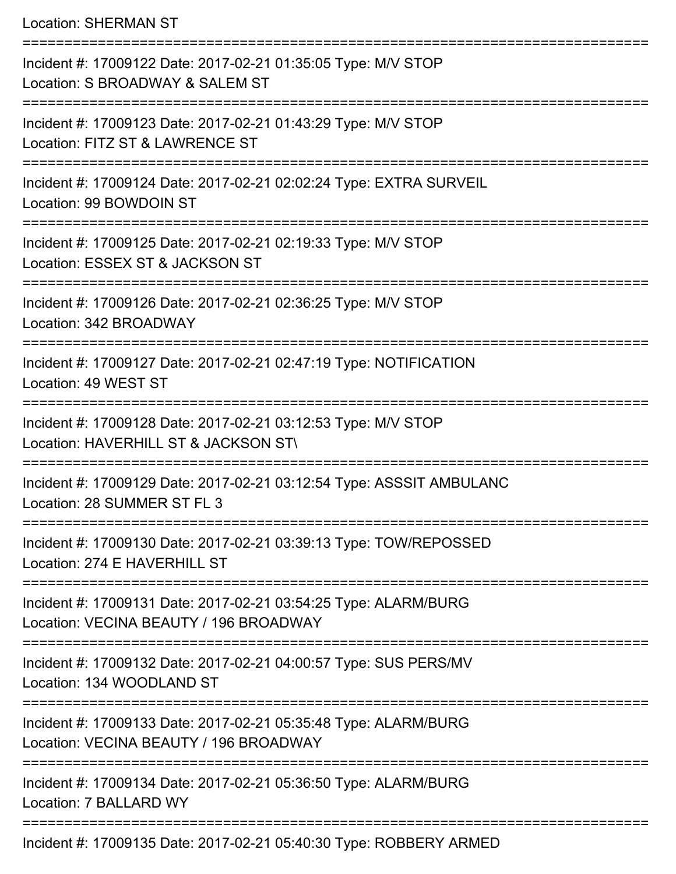Location: SHERMAN ST

| Incident #: 17009122 Date: 2017-02-21 01:35:05 Type: M/V STOP<br>Location: S BROADWAY & SALEM ST          |
|-----------------------------------------------------------------------------------------------------------|
| Incident #: 17009123 Date: 2017-02-21 01:43:29 Type: M/V STOP<br>Location: FITZ ST & LAWRENCE ST          |
| Incident #: 17009124 Date: 2017-02-21 02:02:24 Type: EXTRA SURVEIL<br>Location: 99 BOWDOIN ST             |
| Incident #: 17009125 Date: 2017-02-21 02:19:33 Type: M/V STOP<br>Location: ESSEX ST & JACKSON ST          |
| Incident #: 17009126 Date: 2017-02-21 02:36:25 Type: M/V STOP<br>Location: 342 BROADWAY                   |
| Incident #: 17009127 Date: 2017-02-21 02:47:19 Type: NOTIFICATION<br>Location: 49 WEST ST                 |
| Incident #: 17009128 Date: 2017-02-21 03:12:53 Type: M/V STOP<br>Location: HAVERHILL ST & JACKSON ST\     |
| Incident #: 17009129 Date: 2017-02-21 03:12:54 Type: ASSSIT AMBULANC<br>Location: 28 SUMMER ST FL 3       |
| Incident #: 17009130 Date: 2017-02-21 03:39:13 Type: TOW/REPOSSED<br>Location: 274 E HAVERHILL ST         |
| Incident #: 17009131 Date: 2017-02-21 03:54:25 Type: ALARM/BURG<br>Location: VECINA BEAUTY / 196 BROADWAY |
| Incident #: 17009132 Date: 2017-02-21 04:00:57 Type: SUS PERS/MV<br>Location: 134 WOODLAND ST             |
| Incident #: 17009133 Date: 2017-02-21 05:35:48 Type: ALARM/BURG<br>Location: VECINA BEAUTY / 196 BROADWAY |
| Incident #: 17009134 Date: 2017-02-21 05:36:50 Type: ALARM/BURG<br>Location: 7 BALLARD WY                 |
| Incident #: 17009135 Date: 2017-02-21 05:40:30 Type: ROBBERY ARMED                                        |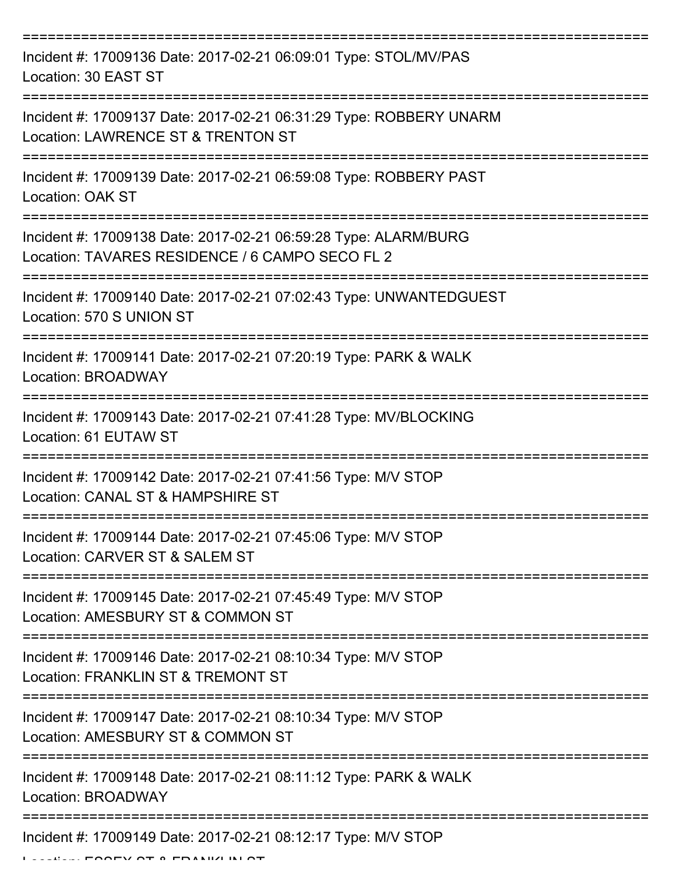| Incident #: 17009136 Date: 2017-02-21 06:09:01 Type: STOL/MV/PAS<br>Location: 30 EAST ST                           |
|--------------------------------------------------------------------------------------------------------------------|
| Incident #: 17009137 Date: 2017-02-21 06:31:29 Type: ROBBERY UNARM<br>Location: LAWRENCE ST & TRENTON ST           |
| Incident #: 17009139 Date: 2017-02-21 06:59:08 Type: ROBBERY PAST<br><b>Location: OAK ST</b>                       |
| Incident #: 17009138 Date: 2017-02-21 06:59:28 Type: ALARM/BURG<br>Location: TAVARES RESIDENCE / 6 CAMPO SECO FL 2 |
| Incident #: 17009140 Date: 2017-02-21 07:02:43 Type: UNWANTEDGUEST<br>Location: 570 S UNION ST                     |
| Incident #: 17009141 Date: 2017-02-21 07:20:19 Type: PARK & WALK<br>Location: BROADWAY                             |
| Incident #: 17009143 Date: 2017-02-21 07:41:28 Type: MV/BLOCKING<br>Location: 61 EUTAW ST                          |
| Incident #: 17009142 Date: 2017-02-21 07:41:56 Type: M/V STOP<br>Location: CANAL ST & HAMPSHIRE ST                 |
| Incident #: 17009144 Date: 2017-02-21 07:45:06 Type: M/V STOP<br>Location: CARVER ST & SALEM ST                    |
| Incident #: 17009145 Date: 2017-02-21 07:45:49 Type: M/V STOP<br>Location: AMESBURY ST & COMMON ST                 |
| Incident #: 17009146 Date: 2017-02-21 08:10:34 Type: M/V STOP<br>Location: FRANKLIN ST & TREMONT ST                |
| Incident #: 17009147 Date: 2017-02-21 08:10:34 Type: M/V STOP<br>Location: AMESBURY ST & COMMON ST                 |
| Incident #: 17009148 Date: 2017-02-21 08:11:12 Type: PARK & WALK<br>Location: BROADWAY                             |
| Incident #: 17009149 Date: 2017-02-21 08:12:17 Type: M/V STOP                                                      |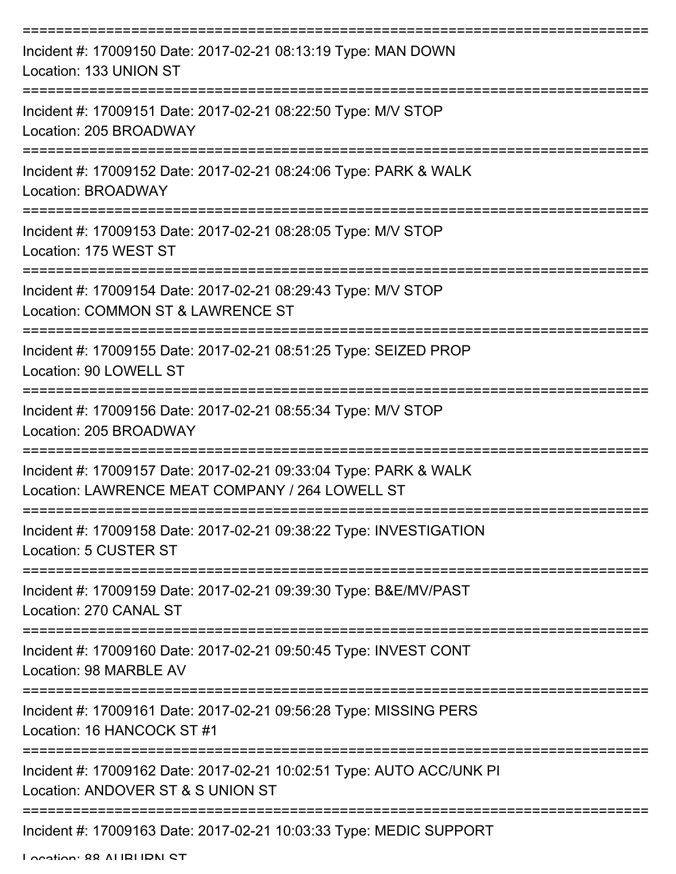| Incident #: 17009150 Date: 2017-02-21 08:13:19 Type: MAN DOWN<br>Location: 133 UNION ST                             |
|---------------------------------------------------------------------------------------------------------------------|
| Incident #: 17009151 Date: 2017-02-21 08:22:50 Type: M/V STOP<br>Location: 205 BROADWAY                             |
| Incident #: 17009152 Date: 2017-02-21 08:24:06 Type: PARK & WALK<br>Location: BROADWAY                              |
| Incident #: 17009153 Date: 2017-02-21 08:28:05 Type: M/V STOP<br>Location: 175 WEST ST                              |
| Incident #: 17009154 Date: 2017-02-21 08:29:43 Type: M/V STOP<br>Location: COMMON ST & LAWRENCE ST                  |
| Incident #: 17009155 Date: 2017-02-21 08:51:25 Type: SEIZED PROP<br>Location: 90 LOWELL ST                          |
| Incident #: 17009156 Date: 2017-02-21 08:55:34 Type: M/V STOP<br>Location: 205 BROADWAY                             |
| Incident #: 17009157 Date: 2017-02-21 09:33:04 Type: PARK & WALK<br>Location: LAWRENCE MEAT COMPANY / 264 LOWELL ST |
| Incident #: 17009158 Date: 2017-02-21 09:38:22 Type: INVESTIGATION<br>Location: 5 CUSTER ST                         |
| Incident #: 17009159 Date: 2017-02-21 09:39:30 Type: B&E/MV/PAST<br>Location: 270 CANAL ST                          |
| Incident #: 17009160 Date: 2017-02-21 09:50:45 Type: INVEST CONT<br>Location: 98 MARBLE AV                          |
| Incident #: 17009161 Date: 2017-02-21 09:56:28 Type: MISSING PERS<br>Location: 16 HANCOCK ST #1                     |
| Incident #: 17009162 Date: 2017-02-21 10:02:51 Type: AUTO ACC/UNK PI<br>Location: ANDOVER ST & S UNION ST           |
| Incident #: 17009163 Date: 2017-02-21 10:03:33 Type: MEDIC SUPPORT                                                  |

Location: 88 AUBURN ST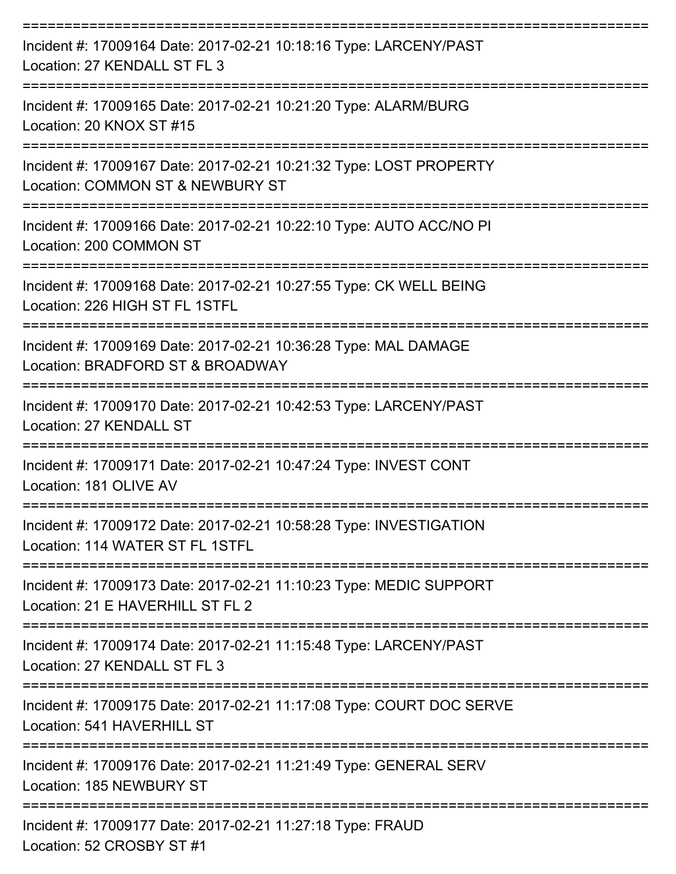| Incident #: 17009164 Date: 2017-02-21 10:18:16 Type: LARCENY/PAST<br>Location: 27 KENDALL ST FL 3                                       |
|-----------------------------------------------------------------------------------------------------------------------------------------|
| Incident #: 17009165 Date: 2017-02-21 10:21:20 Type: ALARM/BURG<br>Location: 20 KNOX ST #15                                             |
| Incident #: 17009167 Date: 2017-02-21 10:21:32 Type: LOST PROPERTY<br>Location: COMMON ST & NEWBURY ST                                  |
| Incident #: 17009166 Date: 2017-02-21 10:22:10 Type: AUTO ACC/NO PI<br>Location: 200 COMMON ST<br>------------------------------------- |
| Incident #: 17009168 Date: 2017-02-21 10:27:55 Type: CK WELL BEING<br>Location: 226 HIGH ST FL 1STFL                                    |
| Incident #: 17009169 Date: 2017-02-21 10:36:28 Type: MAL DAMAGE<br>Location: BRADFORD ST & BROADWAY                                     |
| :================================<br>Incident #: 17009170 Date: 2017-02-21 10:42:53 Type: LARCENY/PAST<br>Location: 27 KENDALL ST       |
| Incident #: 17009171 Date: 2017-02-21 10:47:24 Type: INVEST CONT<br>Location: 181 OLIVE AV                                              |
| Incident #: 17009172 Date: 2017-02-21 10:58:28 Type: INVESTIGATION<br>Location: 114 WATER ST FL 1STFL                                   |
| Incident #: 17009173 Date: 2017-02-21 11:10:23 Type: MEDIC SUPPORT<br>Location: 21 E HAVERHILL ST FL 2                                  |
| Incident #: 17009174 Date: 2017-02-21 11:15:48 Type: LARCENY/PAST<br>Location: 27 KENDALL ST FL 3                                       |
| Incident #: 17009175 Date: 2017-02-21 11:17:08 Type: COURT DOC SERVE<br>Location: 541 HAVERHILL ST                                      |
| Incident #: 17009176 Date: 2017-02-21 11:21:49 Type: GENERAL SERV<br>Location: 185 NEWBURY ST                                           |
| Incident #: 17009177 Date: 2017-02-21 11:27:18 Type: FRAUD<br>Location: 52 CROSBY ST #1                                                 |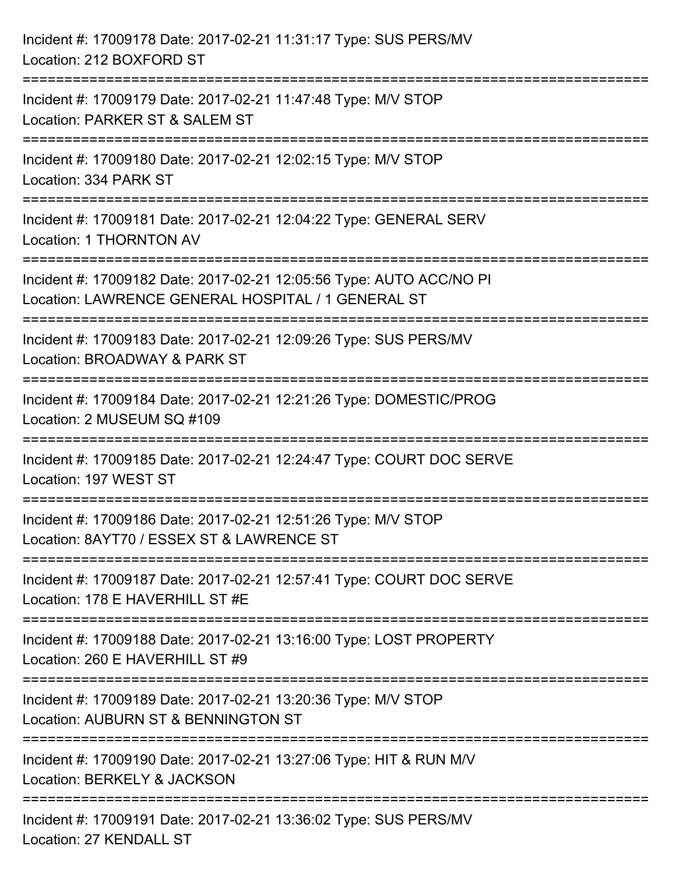| Incident #: 17009178 Date: 2017-02-21 11:31:17 Type: SUS PERS/MV<br>Location: 212 BOXFORD ST                                         |
|--------------------------------------------------------------------------------------------------------------------------------------|
| :================================<br>Incident #: 17009179 Date: 2017-02-21 11:47:48 Type: M/V STOP<br>Location: PARKER ST & SALEM ST |
| Incident #: 17009180 Date: 2017-02-21 12:02:15 Type: M/V STOP<br>Location: 334 PARK ST<br>=====================================      |
| Incident #: 17009181 Date: 2017-02-21 12:04:22 Type: GENERAL SERV<br>Location: 1 THORNTON AV                                         |
| Incident #: 17009182 Date: 2017-02-21 12:05:56 Type: AUTO ACC/NO PI<br>Location: LAWRENCE GENERAL HOSPITAL / 1 GENERAL ST            |
| Incident #: 17009183 Date: 2017-02-21 12:09:26 Type: SUS PERS/MV<br>Location: BROADWAY & PARK ST                                     |
| Incident #: 17009184 Date: 2017-02-21 12:21:26 Type: DOMESTIC/PROG<br>Location: 2 MUSEUM SQ #109                                     |
| Incident #: 17009185 Date: 2017-02-21 12:24:47 Type: COURT DOC SERVE<br>Location: 197 WEST ST                                        |
| Incident #: 17009186 Date: 2017-02-21 12:51:26 Type: M/V STOP<br>Location: 8AYT70 / ESSEX ST & LAWRENCE ST                           |
| Incident #: 17009187 Date: 2017-02-21 12:57:41 Type: COURT DOC SERVE<br>Location: 178 E HAVERHILL ST #E                              |
| Incident #: 17009188 Date: 2017-02-21 13:16:00 Type: LOST PROPERTY<br>Location: 260 E HAVERHILL ST #9                                |
| Incident #: 17009189 Date: 2017-02-21 13:20:36 Type: M/V STOP<br>Location: AUBURN ST & BENNINGTON ST                                 |
| Incident #: 17009190 Date: 2017-02-21 13:27:06 Type: HIT & RUN M/V<br>Location: BERKELY & JACKSON                                    |
| Incident #: 17009191 Date: 2017-02-21 13:36:02 Type: SUS PERS/MV<br>Location: 27 KENDALL ST                                          |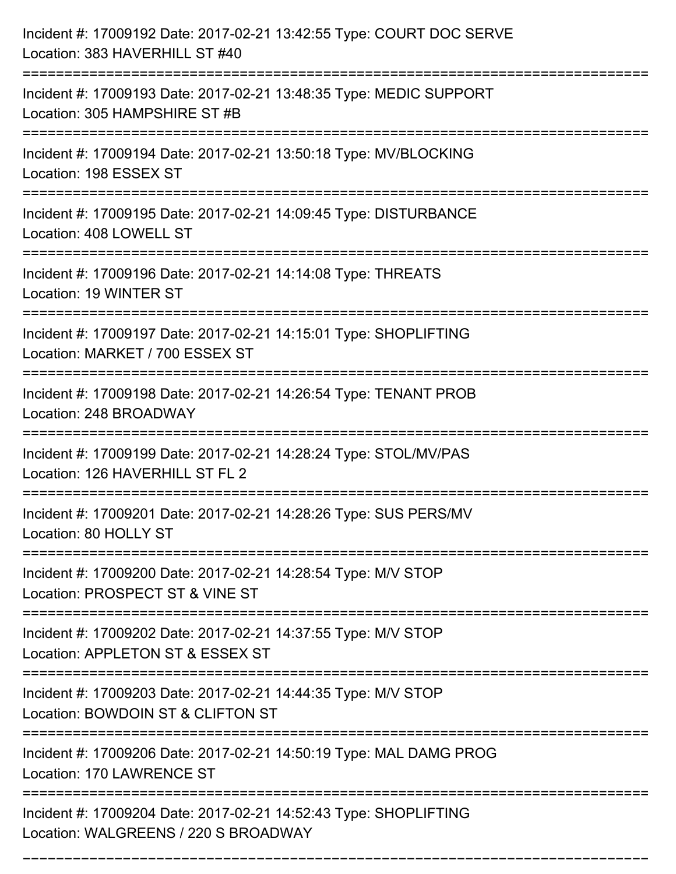| Incident #: 17009192 Date: 2017-02-21 13:42:55 Type: COURT DOC SERVE<br>Location: 383 HAVERHILL ST #40<br>====================================      |
|-----------------------------------------------------------------------------------------------------------------------------------------------------|
| Incident #: 17009193 Date: 2017-02-21 13:48:35 Type: MEDIC SUPPORT<br>Location: 305 HAMPSHIRE ST #B                                                 |
| Incident #: 17009194 Date: 2017-02-21 13:50:18 Type: MV/BLOCKING<br>Location: 198 ESSEX ST<br>:====================================                 |
| Incident #: 17009195 Date: 2017-02-21 14:09:45 Type: DISTURBANCE<br>Location: 408 LOWELL ST                                                         |
| Incident #: 17009196 Date: 2017-02-21 14:14:08 Type: THREATS<br>Location: 19 WINTER ST<br>===========================                               |
| Incident #: 17009197 Date: 2017-02-21 14:15:01 Type: SHOPLIFTING<br>Location: MARKET / 700 ESSEX ST                                                 |
| Incident #: 17009198 Date: 2017-02-21 14:26:54 Type: TENANT PROB<br>Location: 248 BROADWAY<br>===============================<br>================== |
| Incident #: 17009199 Date: 2017-02-21 14:28:24 Type: STOL/MV/PAS<br>Location: 126 HAVERHILL ST FL 2                                                 |
| Incident #: 17009201 Date: 2017-02-21 14:28:26 Type: SUS PERS/MV<br>Location: 80 HOLLY ST<br>=================                                      |
| Incident #: 17009200 Date: 2017-02-21 14:28:54 Type: M/V STOP<br>Location: PROSPECT ST & VINE ST                                                    |
| Incident #: 17009202 Date: 2017-02-21 14:37:55 Type: M/V STOP<br>Location: APPLETON ST & ESSEX ST                                                   |
| Incident #: 17009203 Date: 2017-02-21 14:44:35 Type: M/V STOP<br>Location: BOWDOIN ST & CLIFTON ST                                                  |
| Incident #: 17009206 Date: 2017-02-21 14:50:19 Type: MAL DAMG PROG<br>Location: 170 LAWRENCE ST                                                     |
| Incident #: 17009204 Date: 2017-02-21 14:52:43 Type: SHOPLIFTING<br>Location: WALGREENS / 220 S BROADWAY                                            |

===========================================================================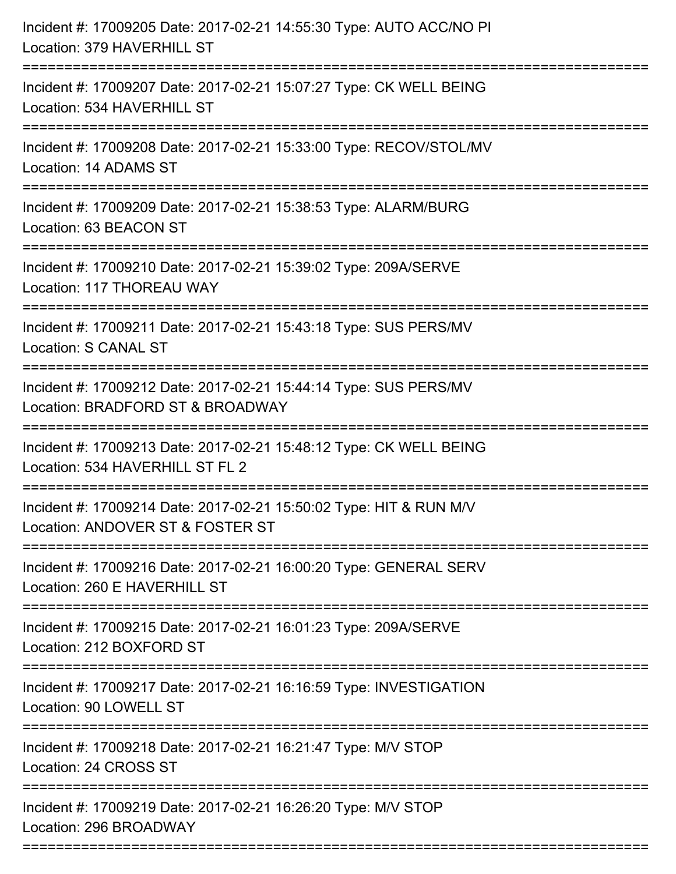| Incident #: 17009205 Date: 2017-02-21 14:55:30 Type: AUTO ACC/NO PI<br>Location: 379 HAVERHILL ST                               |
|---------------------------------------------------------------------------------------------------------------------------------|
| Incident #: 17009207 Date: 2017-02-21 15:07:27 Type: CK WELL BEING<br>Location: 534 HAVERHILL ST                                |
| Incident #: 17009208 Date: 2017-02-21 15:33:00 Type: RECOV/STOL/MV<br>Location: 14 ADAMS ST<br>================================ |
| Incident #: 17009209 Date: 2017-02-21 15:38:53 Type: ALARM/BURG<br>Location: 63 BEACON ST                                       |
| Incident #: 17009210 Date: 2017-02-21 15:39:02 Type: 209A/SERVE<br>Location: 117 THOREAU WAY                                    |
| Incident #: 17009211 Date: 2017-02-21 15:43:18 Type: SUS PERS/MV<br>Location: S CANAL ST                                        |
| Incident #: 17009212 Date: 2017-02-21 15:44:14 Type: SUS PERS/MV<br>Location: BRADFORD ST & BROADWAY                            |
| Incident #: 17009213 Date: 2017-02-21 15:48:12 Type: CK WELL BEING<br>Location: 534 HAVERHILL ST FL 2                           |
| Incident #: 17009214 Date: 2017-02-21 15:50:02 Type: HIT & RUN M/V<br>Location: ANDOVER ST & FOSTER ST                          |
| Incident #: 17009216 Date: 2017-02-21 16:00:20 Type: GENERAL SERV<br>Location: 260 E HAVERHILL ST                               |
| Incident #: 17009215 Date: 2017-02-21 16:01:23 Type: 209A/SERVE<br>Location: 212 BOXFORD ST                                     |
| Incident #: 17009217 Date: 2017-02-21 16:16:59 Type: INVESTIGATION<br>Location: 90 LOWELL ST                                    |
| Incident #: 17009218 Date: 2017-02-21 16:21:47 Type: M/V STOP<br>Location: 24 CROSS ST                                          |
| Incident #: 17009219 Date: 2017-02-21 16:26:20 Type: M/V STOP<br>Location: 296 BROADWAY                                         |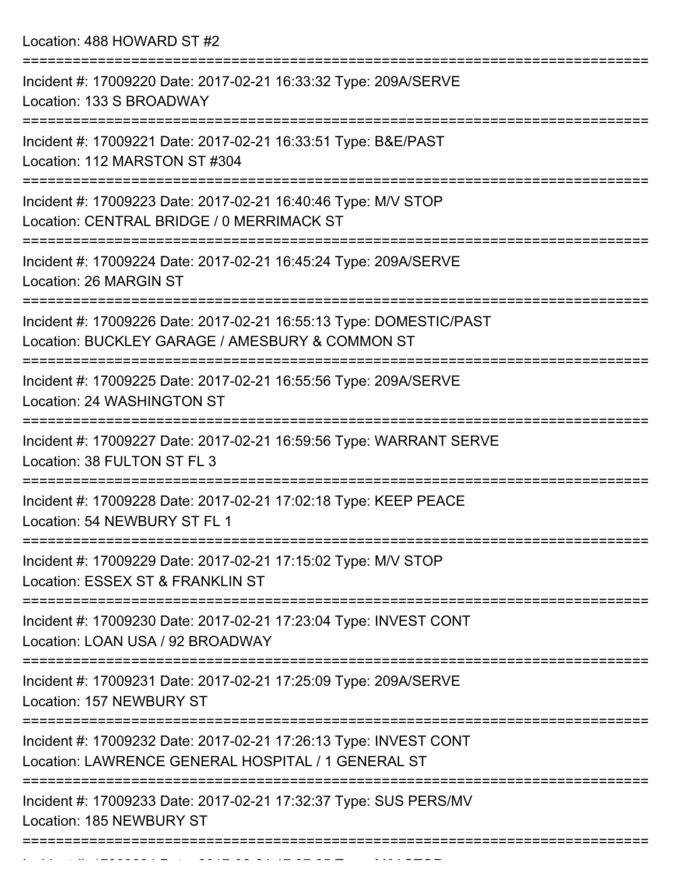Location: 488 HOWARD ST #2

| Incident #: 17009220 Date: 2017-02-21 16:33:32 Type: 209A/SERVE<br>Location: 133 S BROADWAY                            |
|------------------------------------------------------------------------------------------------------------------------|
| Incident #: 17009221 Date: 2017-02-21 16:33:51 Type: B&E/PAST<br>Location: 112 MARSTON ST #304                         |
| Incident #: 17009223 Date: 2017-02-21 16:40:46 Type: M/V STOP<br>Location: CENTRAL BRIDGE / 0 MERRIMACK ST             |
| Incident #: 17009224 Date: 2017-02-21 16:45:24 Type: 209A/SERVE<br>Location: 26 MARGIN ST                              |
| Incident #: 17009226 Date: 2017-02-21 16:55:13 Type: DOMESTIC/PAST<br>Location: BUCKLEY GARAGE / AMESBURY & COMMON ST  |
| Incident #: 17009225 Date: 2017-02-21 16:55:56 Type: 209A/SERVE<br>Location: 24 WASHINGTON ST                          |
| Incident #: 17009227 Date: 2017-02-21 16:59:56 Type: WARRANT SERVE<br>Location: 38 FULTON ST FL 3                      |
| Incident #: 17009228 Date: 2017-02-21 17:02:18 Type: KEEP PEACE<br>Location: 54 NEWBURY ST FL 1                        |
| Incident #: 17009229 Date: 2017-02-21 17:15:02 Type: M/V STOP<br>Location: ESSEX ST & FRANKLIN ST                      |
| Incident #: 17009230 Date: 2017-02-21 17:23:04 Type: INVEST CONT<br>Location: LOAN USA / 92 BROADWAY                   |
| Incident #: 17009231 Date: 2017-02-21 17:25:09 Type: 209A/SERVE<br>Location: 157 NEWBURY ST                            |
| Incident #: 17009232 Date: 2017-02-21 17:26:13 Type: INVEST CONT<br>Location: LAWRENCE GENERAL HOSPITAL / 1 GENERAL ST |
| Incident #: 17009233 Date: 2017-02-21 17:32:37 Type: SUS PERS/MV<br>Location: 185 NEWBURY ST                           |
|                                                                                                                        |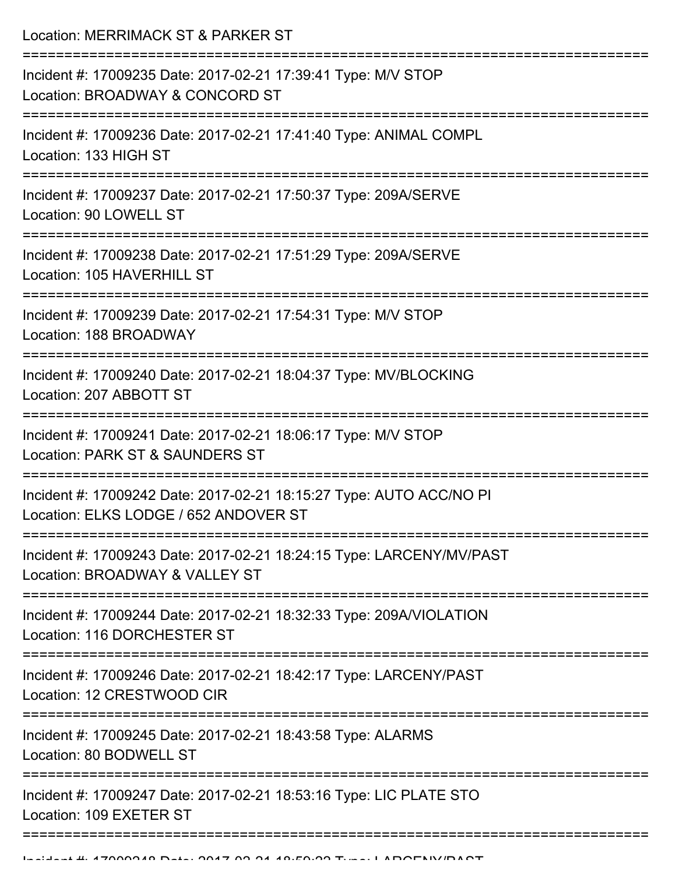Location: MERRIMACK ST & PARKER ST

| Incident #: 17009235 Date: 2017-02-21 17:39:41 Type: M/V STOP<br>Location: BROADWAY & CONCORD ST             |
|--------------------------------------------------------------------------------------------------------------|
| Incident #: 17009236 Date: 2017-02-21 17:41:40 Type: ANIMAL COMPL<br>Location: 133 HIGH ST                   |
| Incident #: 17009237 Date: 2017-02-21 17:50:37 Type: 209A/SERVE<br>Location: 90 LOWELL ST                    |
| Incident #: 17009238 Date: 2017-02-21 17:51:29 Type: 209A/SERVE<br>Location: 105 HAVERHILL ST                |
| Incident #: 17009239 Date: 2017-02-21 17:54:31 Type: M/V STOP<br>Location: 188 BROADWAY                      |
| Incident #: 17009240 Date: 2017-02-21 18:04:37 Type: MV/BLOCKING<br>Location: 207 ABBOTT ST                  |
| Incident #: 17009241 Date: 2017-02-21 18:06:17 Type: M/V STOP<br>Location: PARK ST & SAUNDERS ST             |
| Incident #: 17009242 Date: 2017-02-21 18:15:27 Type: AUTO ACC/NO PI<br>Location: ELKS LODGE / 652 ANDOVER ST |
| Incident #: 17009243 Date: 2017-02-21 18:24:15 Type: LARCENY/MV/PAST<br>Location: BROADWAY & VALLEY ST       |
| Incident #: 17009244 Date: 2017-02-21 18:32:33 Type: 209A/VIOLATION<br>Location: 116 DORCHESTER ST           |
| Incident #: 17009246 Date: 2017-02-21 18:42:17 Type: LARCENY/PAST<br>Location: 12 CRESTWOOD CIR              |
| Incident #: 17009245 Date: 2017-02-21 18:43:58 Type: ALARMS<br>Location: 80 BODWELL ST                       |
| Incident #: 17009247 Date: 2017-02-21 18:53:16 Type: LIC PLATE STO<br>Location: 109 EXETER ST                |
|                                                                                                              |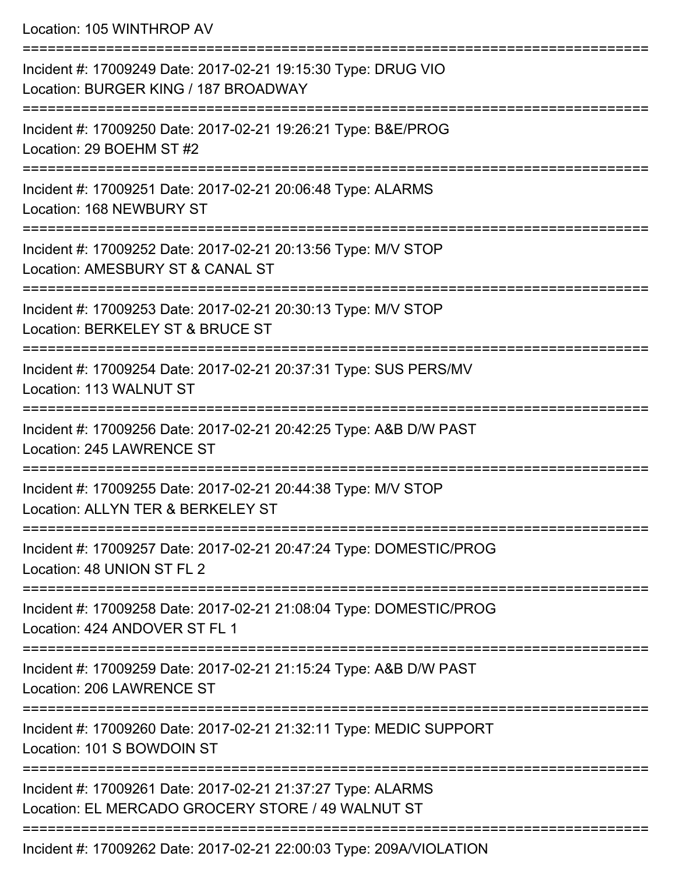Location: 105 WINTHROP AV =========================================================================== Incident #: 17009249 Date: 2017-02-21 19:15:30 Type: DRUG VIO Location: BURGER KING / 187 BROADWAY =========================================================================== Incident #: 17009250 Date: 2017-02-21 19:26:21 Type: B&E/PROG Location: 29 BOEHM ST #2 =========================================================================== Incident #: 17009251 Date: 2017-02-21 20:06:48 Type: ALARMS Location: 168 NEWBURY ST =========================================================================== Incident #: 17009252 Date: 2017-02-21 20:13:56 Type: M/V STOP Location: AMESBURY ST & CANAL ST =========================================================================== Incident #: 17009253 Date: 2017-02-21 20:30:13 Type: M/V STOP Location: BERKELEY ST & BRUCE ST =========================================================================== Incident #: 17009254 Date: 2017-02-21 20:37:31 Type: SUS PERS/MV Location: 113 WALNUT ST =========================================================================== Incident #: 17009256 Date: 2017-02-21 20:42:25 Type: A&B D/W PAST Location: 245 LAWRENCE ST =========================================================================== Incident #: 17009255 Date: 2017-02-21 20:44:38 Type: M/V STOP Location: ALLYN TER & BERKELEY ST =========================================================================== Incident #: 17009257 Date: 2017-02-21 20:47:24 Type: DOMESTIC/PROG Location: 48 UNION ST FL 2 =========================================================================== Incident #: 17009258 Date: 2017-02-21 21:08:04 Type: DOMESTIC/PROG Location: 424 ANDOVER ST FL 1 =========================================================================== Incident #: 17009259 Date: 2017-02-21 21:15:24 Type: A&B D/W PAST Location: 206 LAWRENCE ST =========================================================================== Incident #: 17009260 Date: 2017-02-21 21:32:11 Type: MEDIC SUPPORT Location: 101 S BOWDOIN ST =========================================================================== Incident #: 17009261 Date: 2017-02-21 21:37:27 Type: ALARMS Location: EL MERCADO GROCERY STORE / 49 WALNUT ST ===========================================================================

Incident #: 17009262 Date: 2017-02-21 22:00:03 Type: 209A/VIOLATION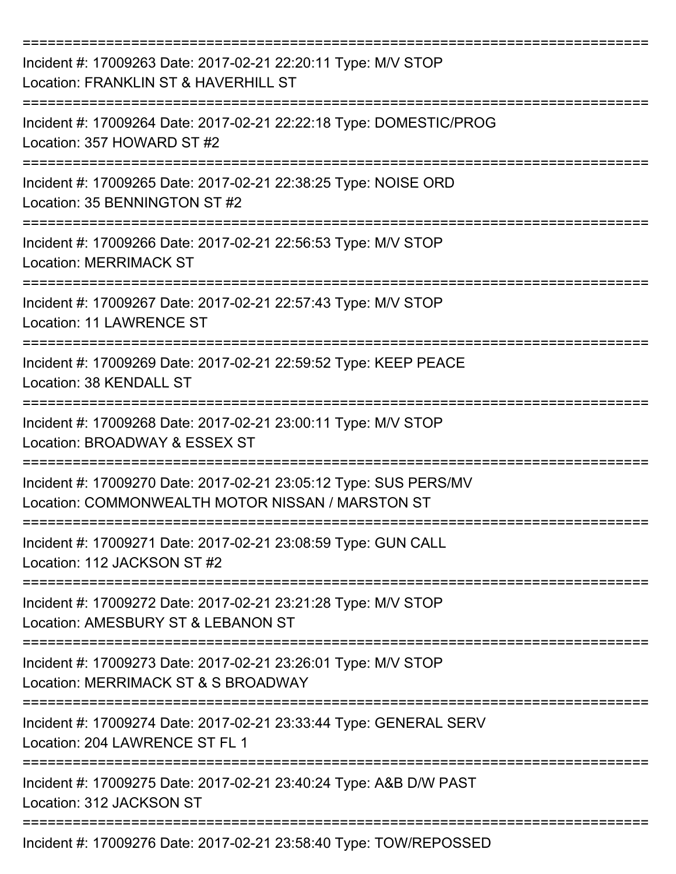| Incident #: 17009263 Date: 2017-02-21 22:20:11 Type: M/V STOP<br>Location: FRANKLIN ST & HAVERHILL ST                |
|----------------------------------------------------------------------------------------------------------------------|
| Incident #: 17009264 Date: 2017-02-21 22:22:18 Type: DOMESTIC/PROG<br>Location: 357 HOWARD ST #2                     |
| Incident #: 17009265 Date: 2017-02-21 22:38:25 Type: NOISE ORD<br>Location: 35 BENNINGTON ST #2                      |
| Incident #: 17009266 Date: 2017-02-21 22:56:53 Type: M/V STOP<br><b>Location: MERRIMACK ST</b>                       |
| Incident #: 17009267 Date: 2017-02-21 22:57:43 Type: M/V STOP<br><b>Location: 11 LAWRENCE ST</b>                     |
| Incident #: 17009269 Date: 2017-02-21 22:59:52 Type: KEEP PEACE<br>Location: 38 KENDALL ST                           |
| Incident #: 17009268 Date: 2017-02-21 23:00:11 Type: M/V STOP<br>Location: BROADWAY & ESSEX ST                       |
| Incident #: 17009270 Date: 2017-02-21 23:05:12 Type: SUS PERS/MV<br>Location: COMMONWEALTH MOTOR NISSAN / MARSTON ST |
| Incident #: 17009271 Date: 2017-02-21 23:08:59 Type: GUN CALL<br>Location: 112 JACKSON ST #2                         |
| Incident #: 17009272 Date: 2017-02-21 23:21:28 Type: M/V STOP<br>Location: AMESBURY ST & LEBANON ST                  |
| Incident #: 17009273 Date: 2017-02-21 23:26:01 Type: M/V STOP<br>Location: MERRIMACK ST & S BROADWAY                 |
| Incident #: 17009274 Date: 2017-02-21 23:33:44 Type: GENERAL SERV<br>Location: 204 LAWRENCE ST FL 1                  |
| Incident #: 17009275 Date: 2017-02-21 23:40:24 Type: A&B D/W PAST<br>Location: 312 JACKSON ST                        |
| Incident #: 17009276 Date: 2017-02-21 23:58:40 Type: TOW/REPOSSED                                                    |